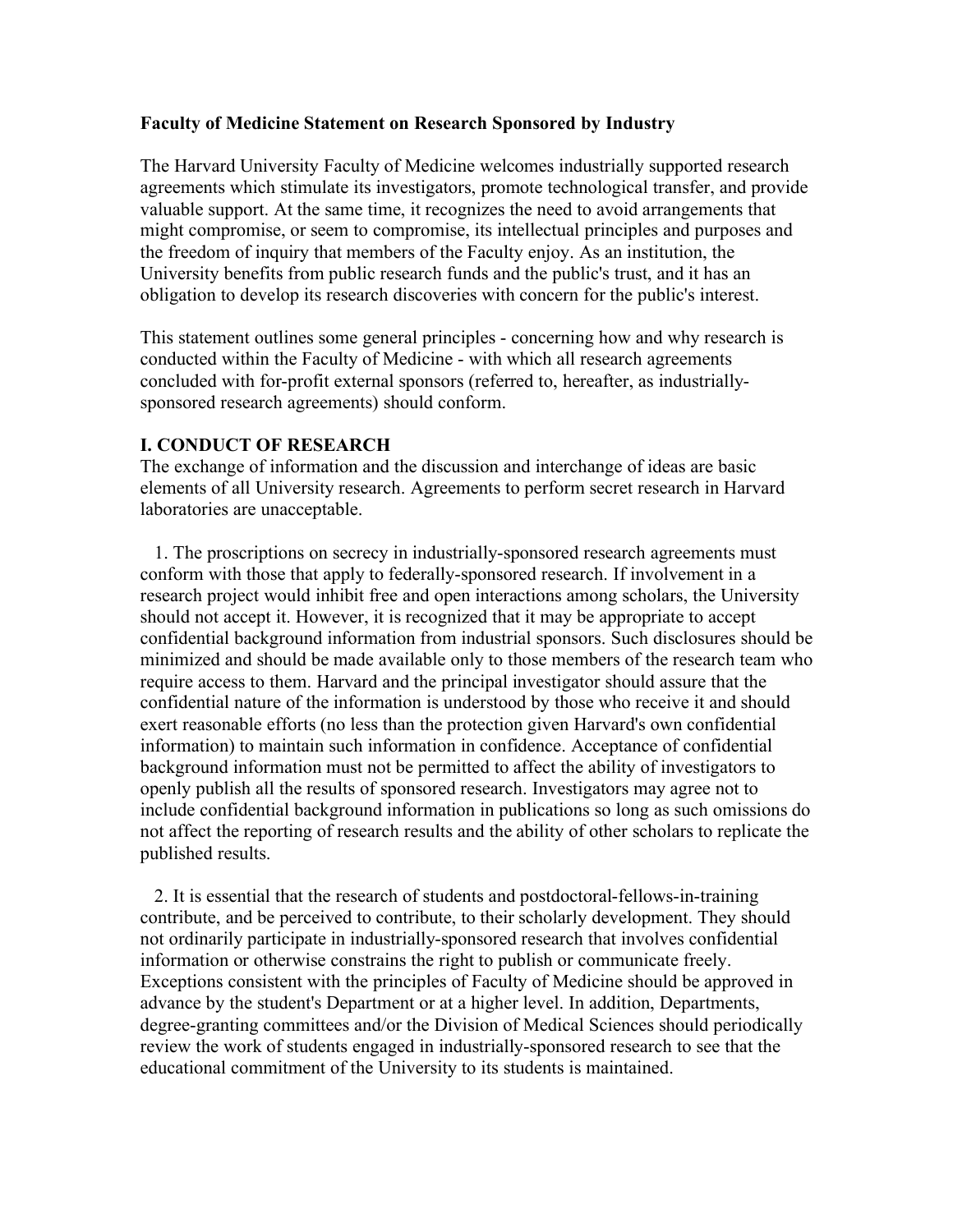### **Faculty of Medicine Statement on Research Sponsored by Industry**

The Harvard University Faculty of Medicine welcomes industrially supported research agreements which stimulate its investigators, promote technological transfer, and provide valuable support. At the same time, it recognizes the need to avoid arrangements that might compromise, or seem to compromise, its intellectual principles and purposes and the freedom of inquiry that members of the Faculty enjoy. As an institution, the University benefits from public research funds and the public's trust, and it has an obligation to develop its research discoveries with concern for the public's interest.

This statement outlines some general principles - concerning how and why research is conducted within the Faculty of Medicine - with which all research agreements concluded with for-profit external sponsors (referred to, hereafter, as industriallysponsored research agreements) should conform.

### **I. CONDUCT OF RESEARCH**

The exchange of information and the discussion and interchange of ideas are basic elements of all University research. Agreements to perform secret research in Harvard laboratories are unacceptable.

 1. The proscriptions on secrecy in industrially-sponsored research agreements must conform with those that apply to federally-sponsored research. If involvement in a research project would inhibit free and open interactions among scholars, the University should not accept it. However, it is recognized that it may be appropriate to accept confidential background information from industrial sponsors. Such disclosures should be minimized and should be made available only to those members of the research team who require access to them. Harvard and the principal investigator should assure that the confidential nature of the information is understood by those who receive it and should exert reasonable efforts (no less than the protection given Harvard's own confidential information) to maintain such information in confidence. Acceptance of confidential background information must not be permitted to affect the ability of investigators to openly publish all the results of sponsored research. Investigators may agree not to include confidential background information in publications so long as such omissions do not affect the reporting of research results and the ability of other scholars to replicate the published results.

 2. It is essential that the research of students and postdoctoral-fellows-in-training contribute, and be perceived to contribute, to their scholarly development. They should not ordinarily participate in industrially-sponsored research that involves confidential information or otherwise constrains the right to publish or communicate freely. Exceptions consistent with the principles of Faculty of Medicine should be approved in advance by the student's Department or at a higher level. In addition, Departments, degree-granting committees and/or the Division of Medical Sciences should periodically review the work of students engaged in industrially-sponsored research to see that the educational commitment of the University to its students is maintained.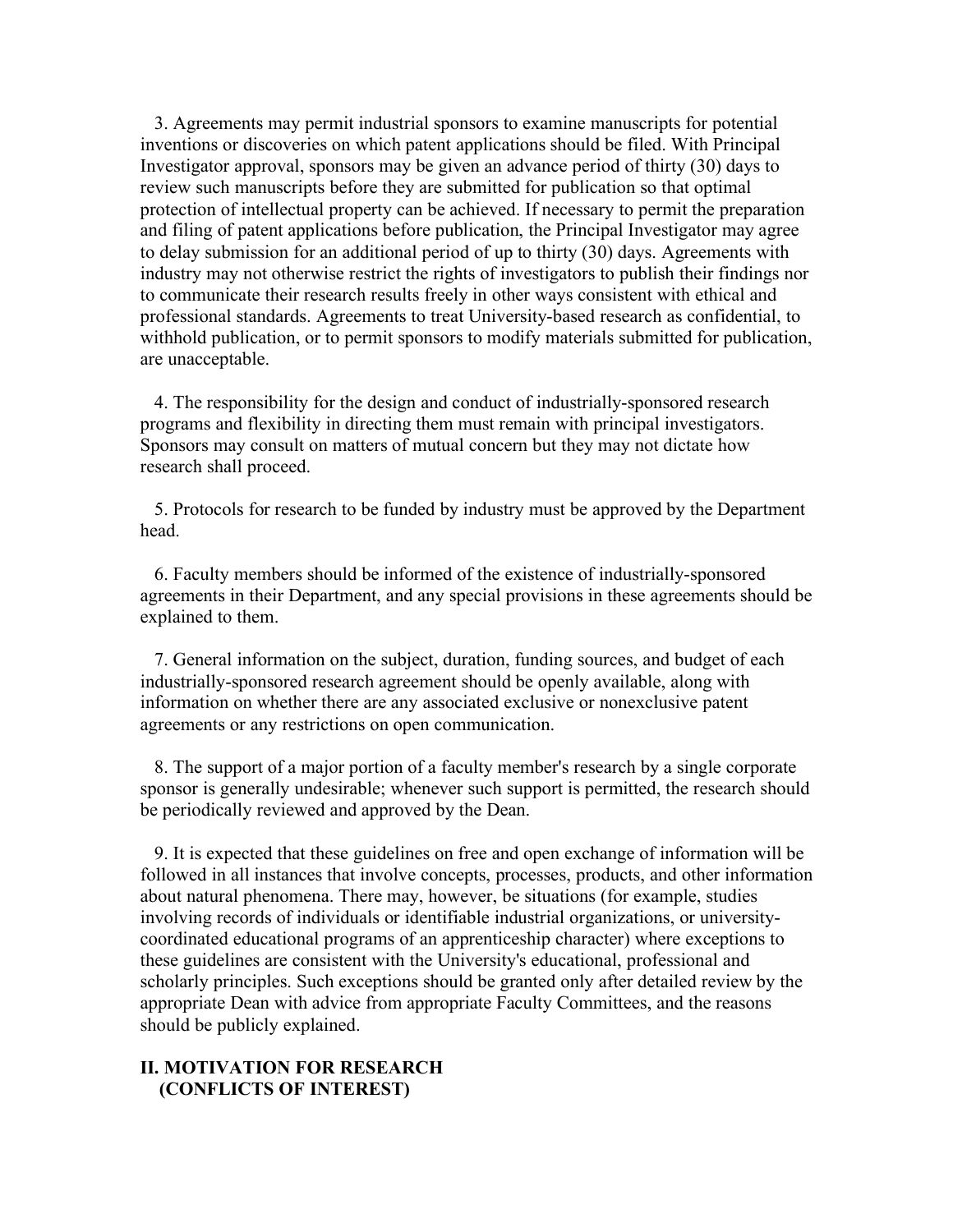3. Agreements may permit industrial sponsors to examine manuscripts for potential inventions or discoveries on which patent applications should be filed. With Principal Investigator approval, sponsors may be given an advance period of thirty (30) days to review such manuscripts before they are submitted for publication so that optimal protection of intellectual property can be achieved. If necessary to permit the preparation and filing of patent applications before publication, the Principal Investigator may agree to delay submission for an additional period of up to thirty (30) days. Agreements with industry may not otherwise restrict the rights of investigators to publish their findings nor to communicate their research results freely in other ways consistent with ethical and professional standards. Agreements to treat University-based research as confidential, to withhold publication, or to permit sponsors to modify materials submitted for publication, are unacceptable.

 4. The responsibility for the design and conduct of industrially-sponsored research programs and flexibility in directing them must remain with principal investigators. Sponsors may consult on matters of mutual concern but they may not dictate how research shall proceed.

 5. Protocols for research to be funded by industry must be approved by the Department head.

 6. Faculty members should be informed of the existence of industrially-sponsored agreements in their Department, and any special provisions in these agreements should be explained to them.

 7. General information on the subject, duration, funding sources, and budget of each industrially-sponsored research agreement should be openly available, along with information on whether there are any associated exclusive or nonexclusive patent agreements or any restrictions on open communication.

 8. The support of a major portion of a faculty member's research by a single corporate sponsor is generally undesirable; whenever such support is permitted, the research should be periodically reviewed and approved by the Dean.

 9. It is expected that these guidelines on free and open exchange of information will be followed in all instances that involve concepts, processes, products, and other information about natural phenomena. There may, however, be situations (for example, studies involving records of individuals or identifiable industrial organizations, or universitycoordinated educational programs of an apprenticeship character) where exceptions to these guidelines are consistent with the University's educational, professional and scholarly principles. Such exceptions should be granted only after detailed review by the appropriate Dean with advice from appropriate Faculty Committees, and the reasons should be publicly explained.

## **II. MOTIVATION FOR RESEARCH (CONFLICTS OF INTEREST)**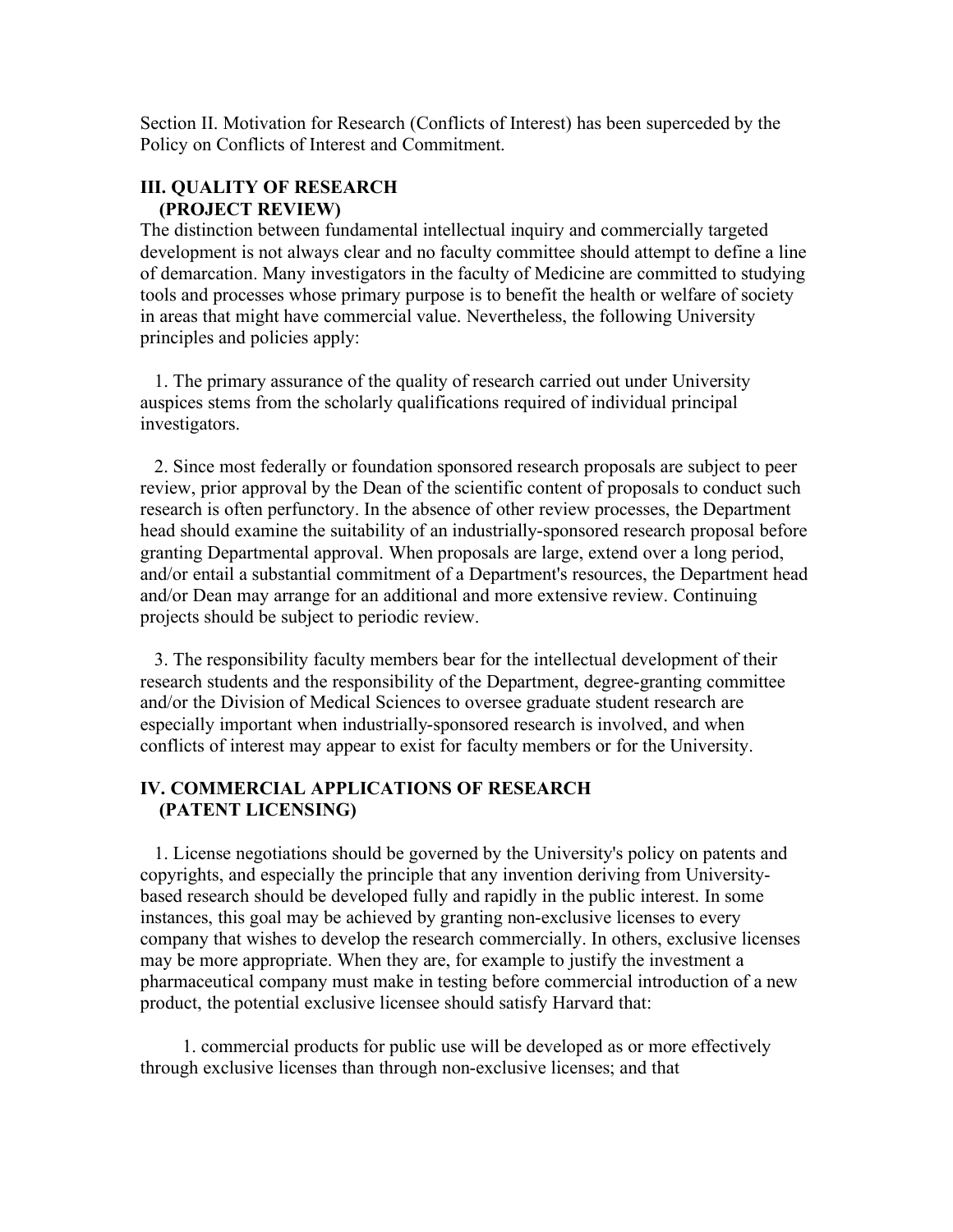Section II. Motivation for Research (Conflicts of Interest) has been superceded by the Policy on Conflicts of Interest and Commitment.

## **III. QUALITY OF RESEARCH (PROJECT REVIEW)**

The distinction between fundamental intellectual inquiry and commercially targeted development is not always clear and no faculty committee should attempt to define a line of demarcation. Many investigators in the faculty of Medicine are committed to studying tools and processes whose primary purpose is to benefit the health or welfare of society in areas that might have commercial value. Nevertheless, the following University principles and policies apply:

 1. The primary assurance of the quality of research carried out under University auspices stems from the scholarly qualifications required of individual principal investigators.

 2. Since most federally or foundation sponsored research proposals are subject to peer review, prior approval by the Dean of the scientific content of proposals to conduct such research is often perfunctory. In the absence of other review processes, the Department head should examine the suitability of an industrially-sponsored research proposal before granting Departmental approval. When proposals are large, extend over a long period, and/or entail a substantial commitment of a Department's resources, the Department head and/or Dean may arrange for an additional and more extensive review. Continuing projects should be subject to periodic review.

 3. The responsibility faculty members bear for the intellectual development of their research students and the responsibility of the Department, degree-granting committee and/or the Division of Medical Sciences to oversee graduate student research are especially important when industrially-sponsored research is involved, and when conflicts of interest may appear to exist for faculty members or for the University.

# **IV. COMMERCIAL APPLICATIONS OF RESEARCH (PATENT LICENSING)**

 1. License negotiations should be governed by the University's policy on patents and copyrights, and especially the principle that any invention deriving from Universitybased research should be developed fully and rapidly in the public interest. In some instances, this goal may be achieved by granting non-exclusive licenses to every company that wishes to develop the research commercially. In others, exclusive licenses may be more appropriate. When they are, for example to justify the investment a pharmaceutical company must make in testing before commercial introduction of a new product, the potential exclusive licensee should satisfy Harvard that:

 1. commercial products for public use will be developed as or more effectively through exclusive licenses than through non-exclusive licenses; and that